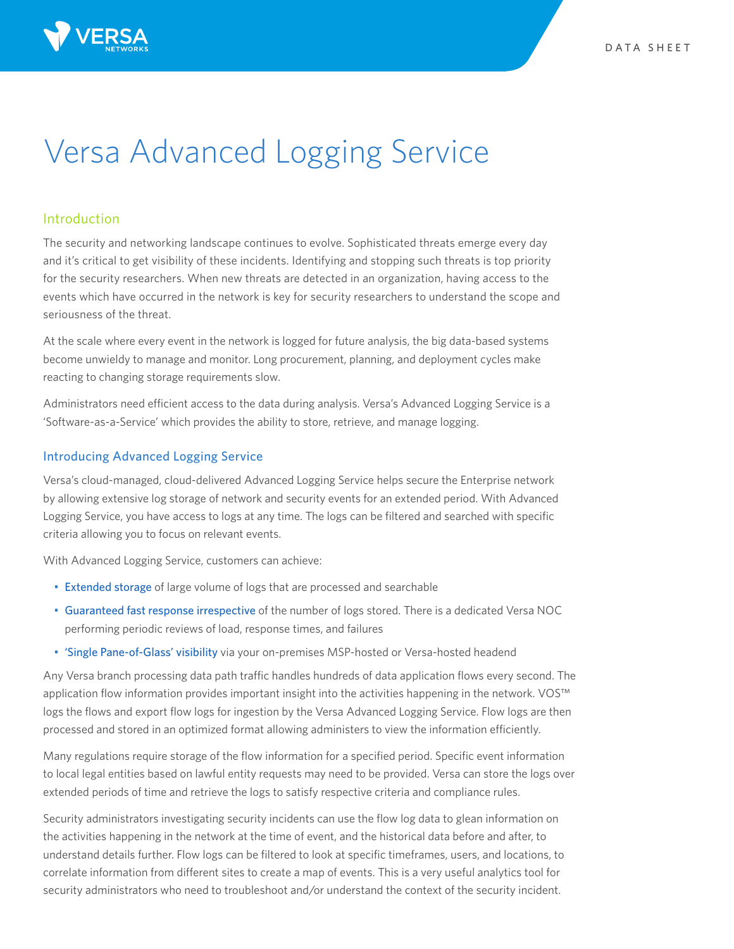

# Versa Advanced Logging Service

# Introduction

The security and networking landscape continues to evolve. Sophisticated threats emerge every day and it's critical to get visibility of these incidents. Identifying and stopping such threats is top priority for the security researchers. When new threats are detected in an organization, having access to the events which have occurred in the network is key for security researchers to understand the scope and seriousness of the threat.

At the scale where every event in the network is logged for future analysis, the big data-based systems become unwieldy to manage and monitor. Long procurement, planning, and deployment cycles make reacting to changing storage requirements slow.

Administrators need efficient access to the data during analysis. Versa's Advanced Logging Service is a 'Software-as-a-Service' which provides the ability to store, retrieve, and manage logging.

## Introducing Advanced Logging Service

Versa's cloud-managed, cloud-delivered Advanced Logging Service helps secure the Enterprise network by allowing extensive log storage of network and security events for an extended period. With Advanced Logging Service, you have access to logs at any time. The logs can be filtered and searched with specific criteria allowing you to focus on relevant events.

With Advanced Logging Service, customers can achieve:

- Extended storage of large volume of logs that are processed and searchable
- Guaranteed fast response irrespective of the number of logs stored. There is a dedicated Versa NOC performing periodic reviews of load, response times, and failures
- 'Single Pane-of-Glass' visibility via your on-premises MSP-hosted or Versa-hosted headend

Any Versa branch processing data path traffic handles hundreds of data application flows every second. The application flow information provides important insight into the activities happening in the network. VOS™ logs the flows and export flow logs for ingestion by the Versa Advanced Logging Service. Flow logs are then processed and stored in an optimized format allowing administers to view the information efficiently.

Many regulations require storage of the flow information for a specified period. Specific event information to local legal entities based on lawful entity requests may need to be provided. Versa can store the logs over extended periods of time and retrieve the logs to satisfy respective criteria and compliance rules.

Security administrators investigating security incidents can use the flow log data to glean information on the activities happening in the network at the time of event, and the historical data before and after, to understand details further. Flow logs can be filtered to look at specific timeframes, users, and locations, to correlate information from different sites to create a map of events. This is a very useful analytics tool for security administrators who need to troubleshoot and/or understand the context of the security incident.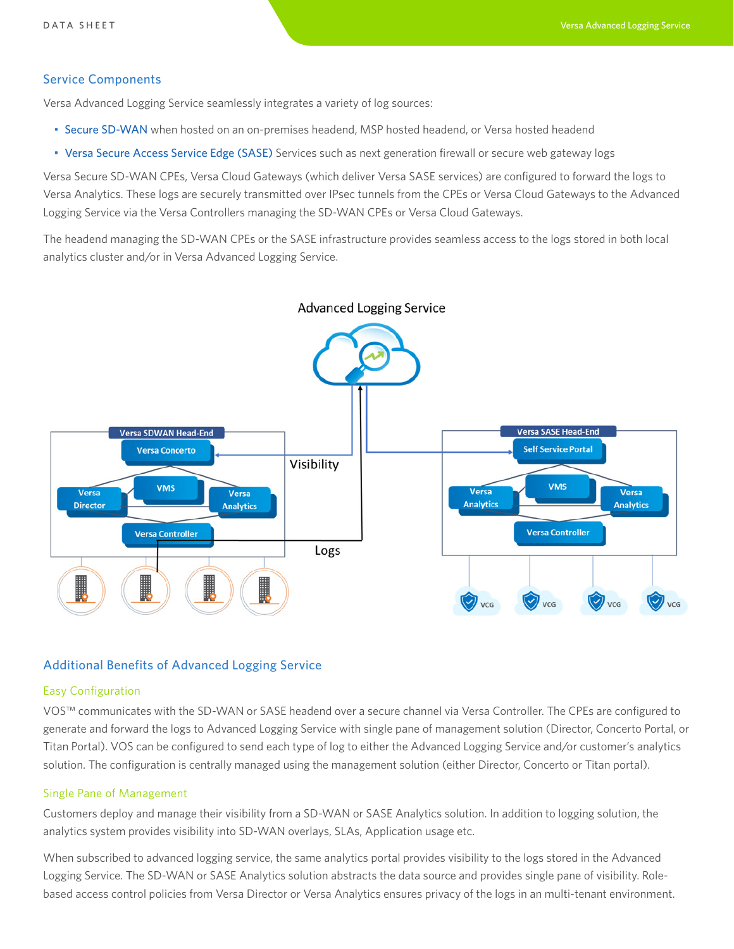## Service Components

Versa Advanced Logging Service seamlessly integrates a variety of log sources:

- Secure SD-WAN when hosted on an on-premises headend, MSP hosted headend, or Versa hosted headend
- Versa Secure Access Service Edge (SASE) Services such as next generation firewall or secure web gateway logs

Versa Secure SD-WAN CPEs, Versa Cloud Gateways (which deliver Versa SASE services) are configured to forward the logs to Versa Analytics. These logs are securely transmitted over IPsec tunnels from the CPEs or Versa Cloud Gateways to the Advanced Logging Service via the Versa Controllers managing the SD-WAN CPEs or Versa Cloud Gateways.

The headend managing the SD-WAN CPEs or the SASE infrastructure provides seamless access to the logs stored in both local analytics cluster and/or in Versa Advanced Logging Service.



**Advanced Logging Service** 

# Additional Benefits of Advanced Logging Service

# Easy Configuration

VOS™ communicates with the SD-WAN or SASE headend over a secure channel via Versa Controller. The CPEs are configured to generate and forward the logs to Advanced Logging Service with single pane of management solution (Director, Concerto Portal, or Titan Portal). VOS can be configured to send each type of log to either the Advanced Logging Service and/or customer's analytics solution. The configuration is centrally managed using the management solution (either Director, Concerto or Titan portal).

#### Single Pane of Management

Customers deploy and manage their visibility from a SD-WAN or SASE Analytics solution. In addition to logging solution, the analytics system provides visibility into SD-WAN overlays, SLAs, Application usage etc.

When subscribed to advanced logging service, the same analytics portal provides visibility to the logs stored in the Advanced Logging Service. The SD-WAN or SASE Analytics solution abstracts the data source and provides single pane of visibility. Rolebased access control policies from Versa Director or Versa Analytics ensures privacy of the logs in an multi-tenant environment.